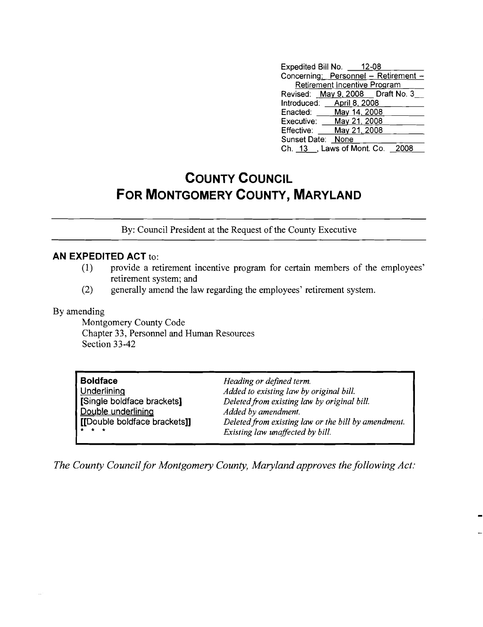| Expedited Bill No. 12-08   |                                     |                                      |
|----------------------------|-------------------------------------|--------------------------------------|
|                            |                                     | Concerning: Personnel - Retirement - |
|                            | <b>Retirement Incentive Program</b> |                                      |
|                            |                                     | Revised: May 9, 2008  Draft No. 3    |
| Introduced: April 8, 2008  |                                     |                                      |
| Enacted: ____ May 14, 2008 |                                     |                                      |
| Executive: May 21, 2008    |                                     |                                      |
| Effective:                 | May 21, 2008                        |                                      |
| Sunset Date: None          |                                     |                                      |
| Ch. 13 , Laws of Mont. Co. |                                     |                                      |

## **COUNTY COUNCIL FOR MONTGOMERY COUNTY, MARYLAND**

By: Council President at the Request of the County Executive

## **AN EXPEDITED ACT** to:

- (1) provide a retirement incentive program for certain members of the employees' retirement system; and
- (2) generally amend the law regarding the employees' retirement system.

## By amending

Montgomery County Code Chapter 33, Personnel and Human Resources Section 33-42

| <b>Boldface</b><br>Underlining                     | Heading or defined term.                                                               |
|----------------------------------------------------|----------------------------------------------------------------------------------------|
| [Single boldface brackets]                         | Added to existing law by original bill.<br>Deleted from existing law by original bill. |
| Double underlining<br>[[Double boldface brackets]] | Added by amendment.<br>Deleted from existing law or the bill by amendment.             |
| $\star$ $\star$ $\star$                            | Existing law unaffected by bill.                                                       |

*The County Council for Montgomery County, Maryland approves the following Act:*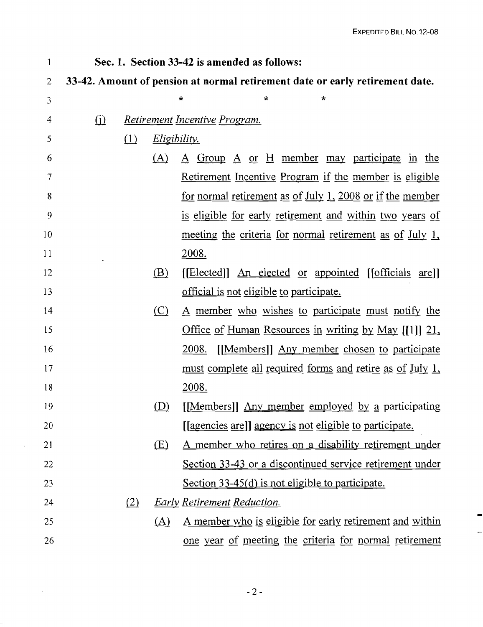| 1              |          |     |                     | Sec. 1. Section 33-42 is amended as follows:                                 |
|----------------|----------|-----|---------------------|------------------------------------------------------------------------------|
| $\overline{2}$ |          |     |                     | 33-42. Amount of pension at normal retirement date or early retirement date. |
| 3              |          |     |                     | $\star$<br>$\star$                                                           |
| 4              | $\Omega$ |     |                     | <u>Retirement Incentive Program.</u>                                         |
| 5              |          | (1) | <i>Eligibility.</i> |                                                                              |
| 6              |          |     | (A)                 | <u>A Group A or H member may participate in the</u>                          |
| 7              |          |     |                     | <u>Retirement Incentive Program if the member is eligible</u>                |
| 8              |          |     |                     | <u>for normal retirement as of July 1, 2008 or if the member</u>             |
| 9              |          |     |                     | is eligible for early retirement and within two years of                     |
| 10             |          |     |                     | meeting the criteria for normal retirement as of July 1,                     |
| 11             |          |     |                     | <u>2008.</u>                                                                 |
| 12             |          |     | (B)                 | [[Elected]] <u>An elected</u> or appointed [[officials are]]                 |
| 13             |          |     |                     | <u>official is not eligible to participate.</u>                              |
| 14             |          |     | $\circ$             | A member who wishes to participate must notify the                           |
| 15             |          |     |                     | <u>Office of Human Resources in writing by May [[1]] 21,</u>                 |
| 16             |          |     |                     | [[Members]] Any member chosen to participate<br>2008.                        |
| 17             |          |     |                     | <u>must complete all required forms and retire as of July 1,</u>             |
| 18             |          |     |                     | 2008.                                                                        |
| 19             |          |     | (D)                 | [[Members]] Any member employed by a participating                           |
| 20             |          |     |                     | [[agencies are]] agency is not eligible to participate.                      |
| 21             |          |     | (E)                 | <u>A member who retires on a disability retirement under</u>                 |
| 22             |          |     |                     | Section 33-43 or a discontinued service retirement under                     |
| 23             |          |     |                     | Section 33-45(d) is not eligible to participate.                             |
| 24             |          | (2) |                     | <b>Early Retirement Reduction.</b>                                           |
| 25             |          |     | (A)                 | <u>A member who is eligible for early retirement and within</u>              |
| 26             |          |     |                     | one year of meeting the criteria for normal retirement                       |
|                |          |     |                     |                                                                              |

 $\sim 10$ 

 $\sim 10^6$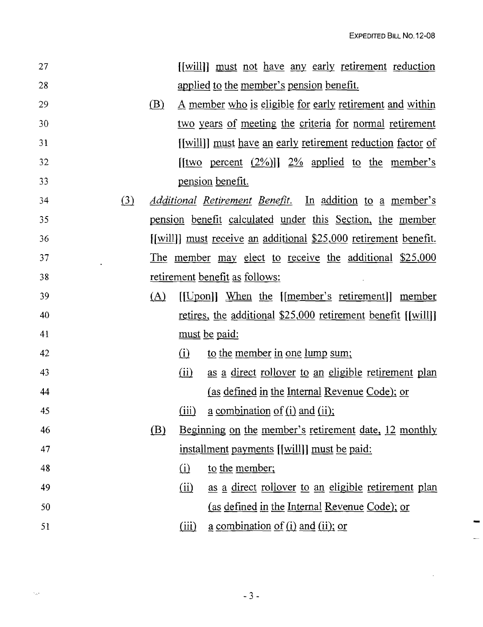$\ddot{\phantom{a}}$ 

|     |     |       | <u>[[will]] must not have any early retirement reduction</u>             |
|-----|-----|-------|--------------------------------------------------------------------------|
|     |     |       | applied to the member's pension benefit.                                 |
|     | (B) |       | <u>A member who is eligible for early retirement and within</u>          |
|     |     |       | two years of meeting the criteria for normal retirement                  |
|     |     |       | [[will]] must have an early retirement reduction factor of               |
|     |     |       | $[$ [two percent $(2\%)$ ]] $2\%$ applied to the member's                |
|     |     |       | <u>pension</u> benefit.                                                  |
| (3) |     |       | <i><u>Additional Retirement Benefit.</u></i> In addition to a member's a |
|     |     |       | pension benefit calculated under this Section, the member                |
|     |     |       | [[will]] <u>must</u> receive an additional \$25,000 retirement benefit.  |
|     |     |       | The member may elect to receive the additional \$25,000                  |
|     |     |       | retirement benefit as follows:                                           |
|     | (A) |       | [[Upon]] When the [[member's retirement]] member                         |
|     |     |       | <u>retires</u> , the additional \$25,000 retirement benefit [[will]]     |
|     |     |       | <u>must</u> be paid:                                                     |
|     |     | (i)   | to the member in one lump sum;                                           |
|     |     | (ii)  | as a direct rollover to an eligible retirement plan                      |
|     |     |       | (as defined in the Internal Revenue Code); or                            |
|     |     | (iii) | <u>a combination of (i) and (ii);</u>                                    |
|     | (B) |       | Beginning on the member's retirement date, 12 monthly                    |
|     |     |       | installment payments [[will]] must be paid:                              |
|     |     | (i)   | to the member;                                                           |
|     |     | (ii)  | as a direct rollover to an eligible retirement plan                      |
|     |     |       | (as defined in the Internal Revenue Code); or                            |
|     |     | (iii) | $\underline{a}$ combination of (i) and (ii); or                          |
|     |     |       |                                                                          |

 $\propto_{\Delta^{\rm in}}$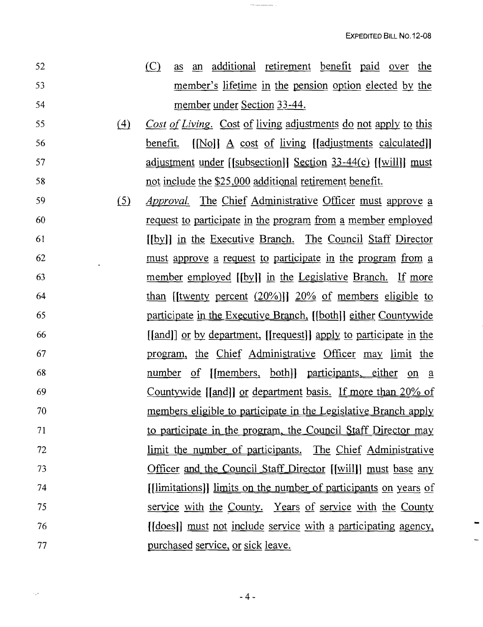$\overline{\phantom{a}}$ 

| 52 |     | (C)<br>as an additional retirement benefit paid over the                  |
|----|-----|---------------------------------------------------------------------------|
| 53 |     | member's lifetime in the pension option elected by the                    |
| 54 |     | member under Section 33-44.                                               |
| 55 | (4) | Cost of Living. Cost of living adjustments do not apply to this           |
| 56 |     | $[No]$ $\Delta$ cost of living [[adjustments calculated]]<br>benefit.     |
| 57 |     | <u>adjustment under [[subsection]] Section 33-44(c)</u> [[will]] must     |
| 58 |     | not include the \$25,000 additional retirement benefit.                   |
| 59 | (5) | <i>Approval.</i> The Chief Administrative Officer must approve a          |
| 60 |     | <u>request to participate in the program from a member employed</u>       |
| 61 |     | [[by]] in the Executive Branch. The Council Staff Director                |
| 62 |     | must approve a request to participate in the program from a               |
| 63 |     | <u>member employed</u> [[by]] in the Legislative Branch. If more          |
| 64 |     | than (twenty percent $(20\%)$ ) $20\%$ of members eligible to             |
| 65 |     | participate in the Executive Branch, [[both]] either Countywide           |
| 66 |     | [[and]] <u>or by department</u> , [[request]] apply to participate in the |
| 67 |     | program, the Chief Administrative Officer may limit the                   |
| 68 |     | number of [[members, both]] participants, either on a                     |
| 69 |     | <u>Countywide</u> [[and]] <u>or department basis. If more than 20% of</u> |
| 70 |     | members eligible to participate in the Legislative Branch apply           |
| 71 |     | to participate in the program, the Council Staff Director may             |
| 72 |     | <u>limit the number of participants. The Chief Administrative</u>         |
| 73 |     | <u>Officer and the Council Staff Director [[will]] must base any</u>      |
| 74 |     | [ <i>limitations</i> ]] limits on the number of participants on years of  |
| 75 |     | service with the County. Years of service with the County                 |
| 76 |     | <u>(does) must not include service with a participating agency,</u>       |
| 77 |     | purchased service, or sick leave.                                         |

 $\frac{1}{2}$  . <br> <br> The second  $\frac{1}{2}$ 

 $\langle \hat{u}_\mu \hat{e}_\nu \rangle$  .